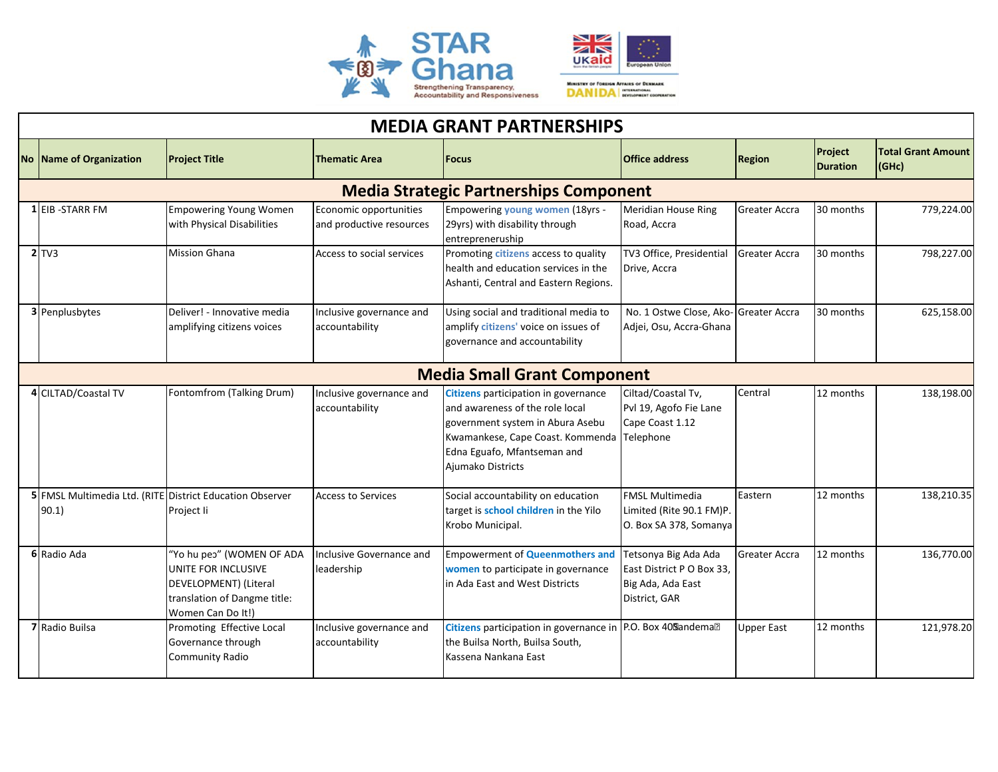

| <b>MEDIA GRANT PARTNERSHIPS</b>               |                         |                                                                                                                                |                                                    |                                                                                                                                                                                                                      |                                                                                         |                      |                            |                                        |  |  |  |  |
|-----------------------------------------------|-------------------------|--------------------------------------------------------------------------------------------------------------------------------|----------------------------------------------------|----------------------------------------------------------------------------------------------------------------------------------------------------------------------------------------------------------------------|-----------------------------------------------------------------------------------------|----------------------|----------------------------|----------------------------------------|--|--|--|--|
|                                               | No Name of Organization | <b>Project Title</b>                                                                                                           | <b>Thematic Area</b>                               | <b>Focus</b>                                                                                                                                                                                                         | <b>Office address</b>                                                                   | <b>Region</b>        | Project<br><b>Duration</b> | <b>Total Grant Amount</b><br>$ $ (GHc) |  |  |  |  |
| <b>Media Strategic Partnerships Component</b> |                         |                                                                                                                                |                                                    |                                                                                                                                                                                                                      |                                                                                         |                      |                            |                                        |  |  |  |  |
|                                               | <b>1 EIB-STARR FM</b>   | <b>Empowering Young Women</b><br>with Physical Disabilities                                                                    | Economic opportunities<br>and productive resources | Empowering young women (18yrs -<br>29yrs) with disability through<br>entrepreneruship                                                                                                                                | Meridian House Ring<br>Road, Accra                                                      | <b>Greater Accra</b> | 30 months                  | 779,224.00                             |  |  |  |  |
|                                               | $2$ TV3                 | <b>Mission Ghana</b>                                                                                                           | Access to social services                          | Promoting citizens access to quality<br>health and education services in the<br>Ashanti, Central and Eastern Regions.                                                                                                | TV3 Office, Presidential<br>Drive, Accra                                                | Greater Accra        | 30 months                  | 798,227.00                             |  |  |  |  |
|                                               | <b>3</b> Penplusbytes   | Deliver! - Innovative media<br>amplifying citizens voices                                                                      | Inclusive governance and<br>accountability         | Using social and traditional media to<br>amplify citizens' voice on issues of<br>governance and accountability                                                                                                       | No. 1 Ostwe Close, Ako-Greater Accra<br>Adjei, Osu, Accra-Ghana                         |                      | 30 months                  | 625,158.00                             |  |  |  |  |
| <b>Media Small Grant Component</b>            |                         |                                                                                                                                |                                                    |                                                                                                                                                                                                                      |                                                                                         |                      |                            |                                        |  |  |  |  |
|                                               | 4 CILTAD/Coastal TV     | Fontomfrom (Talking Drum)                                                                                                      | Inclusive governance and<br>accountability         | <b>Citizens</b> participation in governance<br>and awareness of the role local<br>government system in Abura Asebu<br>Kwamankese, Cape Coast. Kommenda Telephone<br>Edna Eguafo, Mfantseman and<br>Ajumako Districts | Ciltad/Coastal Tv,<br>Pvl 19, Agofo Fie Lane<br>Cape Coast 1.12                         | Central              | 12 months                  | 138,198.00                             |  |  |  |  |
|                                               | 90.1)                   | 5 FMSL Multimedia Ltd. (RITE District Education Observer<br>Project li                                                         | <b>Access to Services</b>                          | Social accountability on education<br>target is school children in the Yilo<br>Krobo Municipal.                                                                                                                      | <b>FMSL Multimedia</b><br>Limited (Rite 90.1 FM)P.<br>O. Box SA 378, Somanya            | Eastern              | 12 months                  | 138,210.35                             |  |  |  |  |
|                                               | 6 Radio Ada             | "Yo hu peo" (WOMEN OF ADA<br>UNITE FOR INCLUSIVE<br>DEVELOPMENT) (Literal<br>translation of Dangme title:<br>Women Can Do It!) | Inclusive Governance and<br>leadership             | <b>Empowerment of Queenmothers and</b><br>women to participate in governance<br>in Ada East and West Districts                                                                                                       | Tetsonya Big Ada Ada<br>East District P O Box 33,<br>Big Ada, Ada East<br>District, GAR | Greater Accra        | 12 months                  | 136,770.00                             |  |  |  |  |
|                                               | 7 Radio Builsa          | Promoting Effective Local<br>Governance through<br>Community Radio                                                             | Inclusive governance and<br>accountability         | Citizens participation in governance in P.O. Box 409andema <sup>?</sup><br>the Builsa North, Builsa South,<br>Kassena Nankana East                                                                                   |                                                                                         | <b>Upper East</b>    | 12 months                  | 121,978.20                             |  |  |  |  |